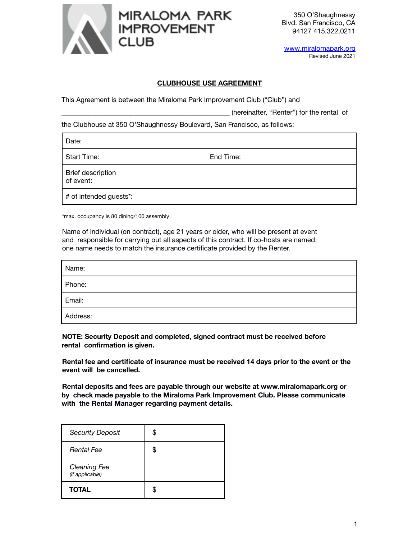

www.miralomapark.org Revised June 2021

## **CLUBHOUSE USE AGREEMENT**

This Agreement is between the Miraloma Park Improvement Club ("Club") and

(hereinafter, "Renter") for the rental of

the Clubhouse at 350 O'Shaughnessy Boulevard, San Francisco, as follows:

Date:

Start Time: Start Time: Start Time: End Time:

Brief description

of event:

# of intended guests\*:

\*max. occupancy is 80 dining/100 assembly

Name of individual (on contract), age 21 years or older, who will be present at event and responsible for carrying out all aspects of this contract. If co-hosts are named, one name needs to match the insurance certificate provided by the Renter.

| Name:    |  |
|----------|--|
| Phone:   |  |
| Email:   |  |
| Address: |  |

**NOTE: Security Deposit and completed, signed contract must be received before rental confirmation is given.**

**Rental fee and certificate of insurance must be received 14 days prior to the event or the event will be cancelled.**

**Rental deposits and fees are payable through our website at www.miralomapark.org or by check made payable to the Miraloma Park Improvement Club. Please communicate with the Rental Manager regarding payment details.**

| <b>Security Deposit</b>         | S |
|---------------------------------|---|
| <b>Rental Fee</b>               | S |
| Cleaning Fee<br>(if applicable) |   |
| <b>TOTAL</b>                    |   |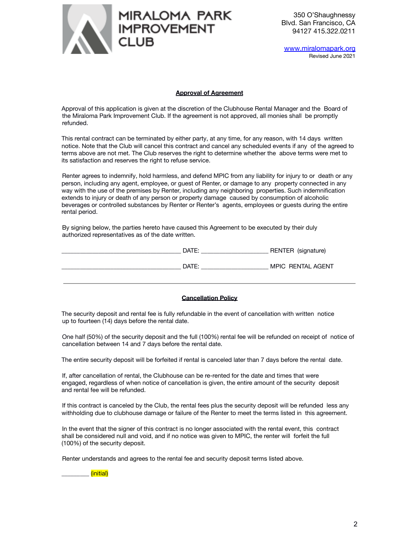

www.miralomapark.org Revised June 2021

#### **Approval of Agreement**

Approval of this application is given at the discretion of the Clubhouse Rental Manager and the Board of the Miraloma Park Improvement Club. If the agreement is not approved, all monies shall be promptly refunded.

This rental contract can be terminated by either party, at any time, for any reason, with 14 days written notice. Note that the Club will cancel this contract and cancel any scheduled events if any of the agreed to terms above are not met. The Club reserves the right to determine whether the above terms were met to its satisfaction and reserves the right to refuse service.

Renter agrees to indemnify, hold harmless, and defend MPIC from any liability for injury to or death or any person, including any agent, employee, or guest of Renter, or damage to any property connected in any way with the use of the premises by Renter, including any neighboring properties. Such indemnification extends to injury or death of any person or property damage caused by consumption of alcoholic beverages or controlled substances by Renter or Renter's agents, employees or guests during the entire rental period.

By signing below, the parties hereto have caused this Agreement to be executed by their duly authorized representatives as of the date written.

| DATE: | RENTER (signature) |
|-------|--------------------|
| DATE: | MPIC RENTAL AGENT  |

## **Cancellation Policy**

The security deposit and rental fee is fully refundable in the event of cancellation with written notice up to fourteen (14) days before the rental date.

One half (50%) of the security deposit and the full (100%) rental fee will be refunded on receipt of notice of cancellation between 14 and 7 days before the rental date.

The entire security deposit will be forfeited if rental is canceled later than 7 days before the rental date.

If, after cancellation of rental, the Clubhouse can be re-rented for the date and times that were engaged, regardless of when notice of cancellation is given, the entire amount of the security deposit and rental fee will be refunded.

If this contract is canceled by the Club, the rental fees plus the security deposit will be refunded less any withholding due to clubhouse damage or failure of the Renter to meet the terms listed in this agreement.

In the event that the signer of this contract is no longer associated with the rental event, this contract shall be considered null and void, and if no notice was given to MPIC, the renter will forfeit the full (100%) of the security deposit.

Renter understands and agrees to the rental fee and security deposit terms listed above.

\_\_\_\_\_\_\_\_\_ (initial)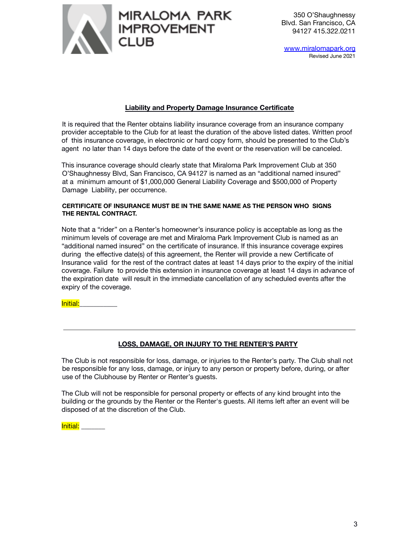

www.miralomapark.org Revised June 2021

# **Liability and Property Damage Insurance Certificate**

It is required that the Renter obtains liability insurance coverage from an insurance company provider acceptable to the Club for at least the duration of the above listed dates. Written proof of this insurance coverage, in electronic or hard copy form, should be presented to the Club's agent no later than 14 days before the date of the event or the reservation will be canceled.

This insurance coverage should clearly state that Miraloma Park Improvement Club at 350 O'Shaughnessy Blvd, San Francisco, CA 94127 is named as an "additional named insured" at a minimum amount of \$1,000,000 General Liability Coverage and \$500,000 of Property Damage Liability, per occurrence.

## **CERTIFICATE OF INSURANCE MUST BE IN THE SAME NAME AS THE PERSON WHO SIGNS THE RENTAL CONTRACT.**

Note that a "rider" on a Renter's homeowner's insurance policy is acceptable as long as the minimum levels of coverage are met and Miraloma Park Improvement Club is named as an "additional named insured" on the certificate of insurance. If this insurance coverage expires during the effective date(s) of this agreement, the Renter will provide a new Certificate of Insurance valid for the rest of the contract dates at least 14 days prior to the expiry of the initial coverage. Failure to provide this extension in insurance coverage at least 14 days in advance of the expiration date will result in the immediate cancellation of any scheduled events after the expiry of the coverage.

Initial:\_\_\_\_\_\_\_\_\_\_\_

# **LOSS, DAMAGE, OR INJURY TO THE RENTER'S PARTY**

The Club is not responsible for loss, damage, or injuries to the Renter's party. The Club shall not be responsible for any loss, damage, or injury to any person or property before, during, or after use of the Clubhouse by Renter or Renter's guests.

The Club will not be responsible for personal property or effects of any kind brought into the building or the grounds by the Renter or the Renter's guests. All items left after an event will be disposed of at the discretion of the Club.

Initial:  $\overline{\phantom{a}}$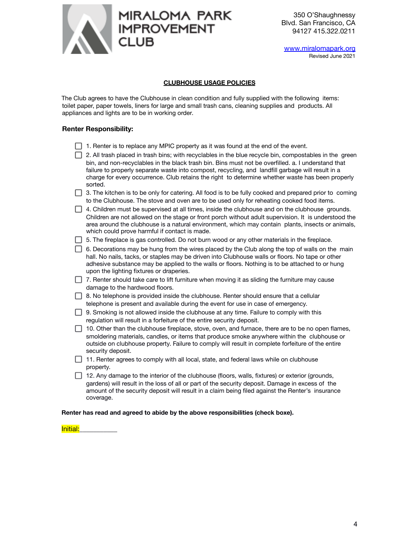

www.miralomapark.org Revised June 2021

#### **CLUBHOUSE USAGE POLICIES**

The Club agrees to have the Clubhouse in clean condition and fully supplied with the following items: toilet paper, paper towels, liners for large and small trash cans, cleaning supplies and products. All appliances and lights are to be in working order.

#### **Renter Responsibility:**

| $\Box$ . Thence to to replace any imple property as it mas reand at the ond of the event.                     |
|---------------------------------------------------------------------------------------------------------------|
| 2. All trash placed in trash bins; with recyclables in the blue recycle bin, compostables in the green        |
| bin, and non-recyclables in the black trash bin. Bins must not be overfilled, a. I understand that            |
| failure to properly separate waste into compost, recycling, and landfill garbage will result in a             |
| charge for every occurrence. Club retains the right to determine whether waste has been properly              |
| sorted.                                                                                                       |
| $\Box$ 3. The kitchen is to be only for catering. All food is to be fully cooked and prepared prior to coming |
| to the Clubhouse. The stove and oven are to be used only for reheating cooked food items.                     |

| $\Box$ 4. Children must be supervised at all times, inside the clubhouse and on the clubhouse grounds. |
|--------------------------------------------------------------------------------------------------------|
| Children are not allowed on the stage or front porch without adult supervision. It is understood the   |
| area around the clubhouse is a natural environment, which may contain plants, insects or animals,      |
| which could prove harmful if contact is made.                                                          |

| $\Box$ 5. The fireplace is gas controlled. Do not burn wood or any other materials in the fireplace. |  |  |
|------------------------------------------------------------------------------------------------------|--|--|
|------------------------------------------------------------------------------------------------------|--|--|

 $\Box$  6. Decorations may be hung from the wires placed by the Club along the top of walls on the main hall. No nails, tacks, or staples may be driven into Clubhouse walls or floors. No tape or other adhesive substance may be applied to the walls or floors. Nothing is to be attached to or hung upon the lighting fixtures or draperies.

 $\Box$  7. Renter should take care to lift furniture when moving it as sliding the furniture may cause damage to the hardwood floors.

 $\Box$  8. No telephone is provided inside the clubhouse. Renter should ensure that a cellular telephone is present and available during the event for use in case of emergency.

9. Smoking is not allowed inside the clubhouse at any time. Failure to comply with this regulation will result in a forfeiture of the entire security deposit.

 $\Box$  10. Other than the clubhouse fireplace, stove, oven, and furnace, there are to be no open flames, smoldering materials, candles, or items that produce smoke anywhere within the clubhouse or outside on clubhouse property. Failure to comply will result in complete forfeiture of the entire security deposit.

 $\Box$  11. Renter agrees to comply with all local, state, and federal laws while on clubhouse property.

 $\Box$  12. Any damage to the interior of the clubhouse (floors, walls, fixtures) or exterior (grounds, gardens) will result in the loss of all or part of the security deposit. Damage in excess of the amount of the security deposit will result in a claim being filed against the Renter's insurance coverage.

#### **Renter has read and agreed to abide by the above responsibilities (check boxe).**

Initial: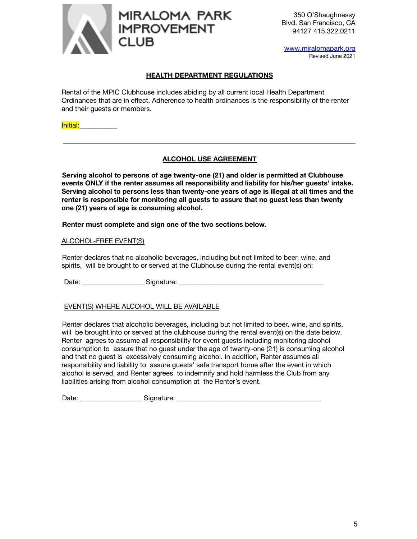

www.miralomapark.org Revised June 2021

# **HEALTH DEPARTMENT REGULATIONS**

Rental of the MPIC Clubhouse includes abiding by all current local Health Department Ordinances that are in effect. Adherence to health ordinances is the responsibility of the renter and their guests or members.

Initial:\_\_\_\_\_\_\_\_\_\_\_

# **ALCOHOL USE AGREEMENT**

**Serving alcohol to persons of age twenty-one (21) and older is permitted at Clubhouse events ONLY if the renter assumes all responsibility and liability for his/her guests' intake. Serving alcohol to persons less than twenty-one years of age is illegal at all times and the renter is responsible for monitoring all guests to assure that no guest less than twenty one (21) years of age is consuming alcohol.**

**Renter must complete and sign one of the two sections below.**

# ALCOHOL-FREE EVENT(S)

Renter declares that no alcoholic beverages, including but not limited to beer, wine, and spirits, will be brought to or served at the Clubhouse during the rental event(s) on:

Date: \_\_\_\_\_\_\_\_\_\_\_\_\_\_\_\_\_\_ Signature: \_\_\_\_\_\_\_\_\_\_\_\_\_\_\_\_\_\_\_\_\_\_\_\_\_\_\_\_\_\_\_\_\_\_\_\_\_\_\_\_\_\_

# EVENT(S) WHERE ALCOHOL WILL BE AVAILABLE

Renter declares that alcoholic beverages, including but not limited to beer, wine, and spirits, will be brought into or served at the clubhouse during the rental event(s) on the date below. Renter agrees to assume all responsibility for event guests including monitoring alcohol consumption to assure that no guest under the age of twenty-one (21) is consuming alcohol and that no guest is excessively consuming alcohol. In addition, Renter assumes all responsibility and liability to assure guests' safe transport home after the event in which alcohol is served, and Renter agrees to indemnify and hold harmless the Club from any liabilities arising from alcohol consumption at the Renter's event.

Date: example and Signature:  $\Box$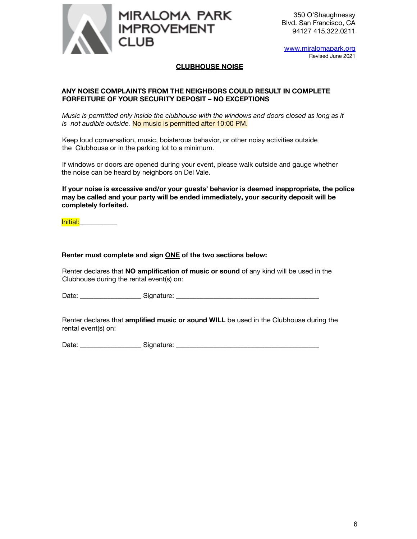

www.miralomapark.org Revised June 2021

# **CLUBHOUSE NOISE**

# **ANY NOISE COMPLAINTS FROM THE NEIGHBORS COULD RESULT IN COMPLETE FORFEITURE OF YOUR SECURITY DEPOSIT – NO EXCEPTIONS**

*Music is permitted only inside the clubhouse with the windows and doors closed as long as it is not audible outside.* No music is permitted after 10:00 PM.

Keep loud conversation, music, boisterous behavior, or other noisy activities outside the Clubhouse or in the parking lot to a minimum.

If windows or doors are opened during your event, please walk outside and gauge whether the noise can be heard by neighbors on Del Vale.

**If your noise is excessive and/or your guests' behavior is deemed inappropriate, the police may be called and your party will be ended immediately, your security deposit will be completely forfeited.**

Initial:\_\_\_\_\_\_\_\_\_\_\_

## **Renter must complete and sign ONE of the two sections below:**

Renter declares that **NO amplification of music or sound** of any kind will be used in the Clubhouse during the rental event(s) on:

Date: \_\_\_\_\_\_\_\_\_\_\_\_\_\_\_\_\_\_ Signature: \_\_\_\_\_\_\_\_\_\_\_\_\_\_\_\_\_\_\_\_\_\_\_\_\_\_\_\_\_\_\_\_\_\_\_\_\_\_\_\_\_\_

Renter declares that **amplified music or sound WILL** be used in the Clubhouse during the rental event(s) on:

Date: \_\_\_\_\_\_\_\_\_\_\_\_\_\_\_\_\_\_ Signature: \_\_\_\_\_\_\_\_\_\_\_\_\_\_\_\_\_\_\_\_\_\_\_\_\_\_\_\_\_\_\_\_\_\_\_\_\_\_\_\_\_\_